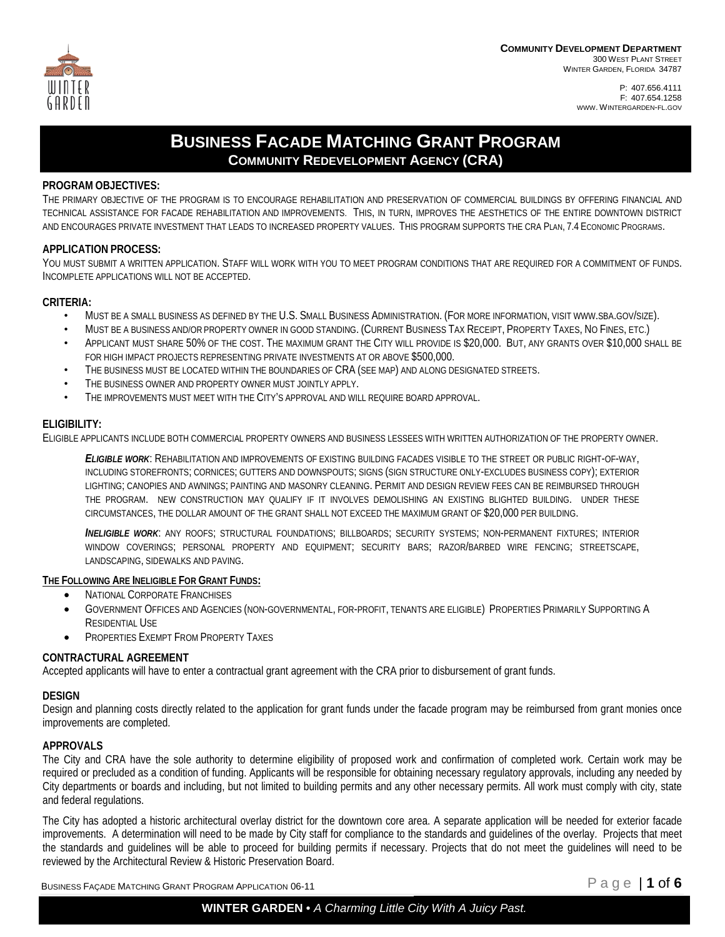

P: 407.656.4111 F: 407.654.1258 WWW. WINTERGARDEN-FL.GOV

## **BUSINESS FACADE MATCHING GRANT PROGRAM COMMUNITY REDEVELOPMENT AGENCY (CRA)**

#### **PROGRAM OBJECTIVES:**

THE PRIMARY OBJECTIVE OF THE PROGRAM IS TO ENCOURAGE REHABILITATION AND PRESERVATION OF COMMERCIAL BUILDINGS BY OFFERING FINANCIAL AND TECHNICAL ASSISTANCE FOR FACADE REHABILITATION AND IMPROVEMENTS. THIS, IN TURN, IMPROVES THE AESTHETICS OF THE ENTIRE DOWNTOWN DISTRICT AND ENCOURAGES PRIVATE INVESTMENT THAT LEADS TO INCREASED PROPERTY VALUES. THIS PROGRAM SUPPORTS THE CRA PLAN, 7.4 ECONOMIC PROGRAMS.

#### **APPLICATION PROCESS:**

YOU MUST SUBMIT A WRITTEN APPLICATION. STAFF WILL WORK WITH YOU TO MEET PROGRAM CONDITIONS THAT ARE REQUIRED FOR A COMMITMENT OF FUNDS. INCOMPLETE APPLICATIONS WILL NOT BE ACCEPTED.

#### **CRITERIA:**

- MUST BE A SMALL BUSINESS AS DEFINED BY THE U.S. SMALL BUSINESS ADMINISTRATION. (FOR MORE INFORMATION, VISIT WWW.SBA.GOV/SIZE).
- MUST BE A BUSINESS AND/OR PROPERTY OWNER IN GOOD STANDING. (CURRENT BUSINESS TAX RECEIPT, PROPERTY TAXES, NO FINES, ETC.)
- APPLICANT MUST SHARE 50% OF THE COST. THE MAXIMUM GRANT THE CITY WILL PROVIDE IS \$20,000. BUT, ANY GRANTS OVER \$10,000 SHALL BE FOR HIGH IMPACT PROJECTS REPRESENTING PRIVATE INVESTMENTS AT OR ABOVE \$500,000.
- THE BUSINESS MUST BE LOCATED WITHIN THE BOUNDARIES OF CRA (SEE MAP) AND ALONG DESIGNATED STREETS.
- THE BUSINESS OWNER AND PROPERTY OWNER MUST JOINTLY APPLY.
- THE IMPROVEMENTS MUST MEET WITH THE CITY'S APPROVAL AND WILL REQUIRE BOARD APPROVAL.

#### **ELIGIBILITY:**

ELIGIBLE APPLICANTS INCLUDE BOTH COMMERCIAL PROPERTY OWNERS AND BUSINESS LESSEES WITH WRITTEN AUTHORIZATION OF THE PROPERTY OWNER.

*ELIGIBLE WORK*: REHABILITATION AND IMPROVEMENTS OF EXISTING BUILDING FACADES VISIBLE TO THE STREET OR PUBLIC RIGHT-OF-WAY, INCLUDING STOREFRONTS; CORNICES; GUTTERS AND DOWNSPOUTS; SIGNS (SIGN STRUCTURE ONLY-EXCLUDES BUSINESS COPY); EXTERIOR LIGHTING; CANOPIES AND AWNINGS; PAINTING AND MASONRY CLEANING. PERMIT AND DESIGN REVIEW FEES CAN BE REIMBURSED THROUGH THE PROGRAM. NEW CONSTRUCTION MAY QUALIFY IF IT INVOLVES DEMOLISHING AN EXISTING BLIGHTED BUILDING. UNDER THESE CIRCUMSTANCES, THE DOLLAR AMOUNT OF THE GRANT SHALL NOT EXCEED THE MAXIMUM GRANT OF \$20,000 PER BUILDING.

*INELIGIBLE WORK*: ANY ROOFS; STRUCTURAL FOUNDATIONS; BILLBOARDS; SECURITY SYSTEMS; NON-PERMANENT FIXTURES; INTERIOR WINDOW COVERINGS; PERSONAL PROPERTY AND EQUIPMENT; SECURITY BARS; RAZOR/BARBED WIRE FENCING; STREETSCAPE, LANDSCAPING, SIDEWALKS AND PAVING.

#### **THE FOLLOWING ARE INELIGIBLE FOR GRANT FUNDS:**

- NATIONAL CORPORATE FRANCHISES
- GOVERNMENT OFFICES AND AGENCIES (NON-GOVERNMENTAL, FOR-PROFIT, TENANTS ARE ELIGIBLE) PROPERTIES PRIMARILY SUPPORTING A RESIDENTIAL LISE
- **PROPERTIES EXEMPT FROM PROPERTY TAXES**

#### **CONTRACTURAL AGREEMENT**

Accepted applicants will have to enter a contractual grant agreement with the CRA prior to disbursement of grant funds.

#### **DESIGN**

Design and planning costs directly related to the application for grant funds under the facade program may be reimbursed from grant monies once improvements are completed.

#### **APPROVALS**

The City and CRA have the sole authority to determine eligibility of proposed work and confirmation of completed work. Certain work may be required or precluded as a condition of funding. Applicants will be responsible for obtaining necessary regulatory approvals, including any needed by City departments or boards and including, but not limited to building permits and any other necessary permits. All work must comply with city, state and federal regulations.

The City has adopted a historic architectural overlay district for the downtown core area. A separate application will be needed for exterior facade improvements. A determination will need to be made by City staff for compliance to the standards and guidelines of the overlay. Projects that meet the standards and guidelines will be able to proceed for building permits if necessary. Projects that do not meet the guidelines will need to be reviewed by the Architectural Review & Historic Preservation Board.

BUSINESS FAÇADE MATCHING GRANT PROGRAM APPLICATION 06-11

Page | **1** of **6**

**WINTER GARDEN •** *A Charming Little City With A Juicy Past.*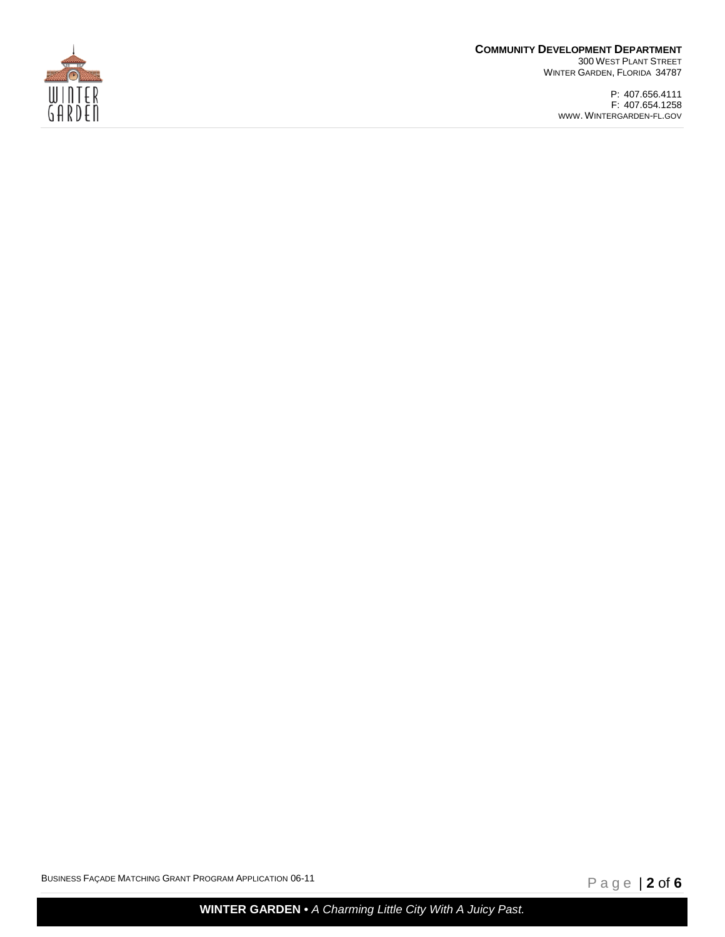# WINTER<br>GARDEN

#### **COMMUNITY DEVELOPMENT DEPARTMENT** 300 WEST PLANT STREET

WINTER GARDEN, FLORIDA 34787

P: 407.656.4111 F: 407.654.1258 WWW. WINTERGARDEN-FL.GOV

BUSINESS FAÇADE MATCHING GRANT PROGRAM APPLICATION 06-11 **Page 12 of 6** 

**WINTER GARDEN •** *A Charming Little City With A Juicy Past.*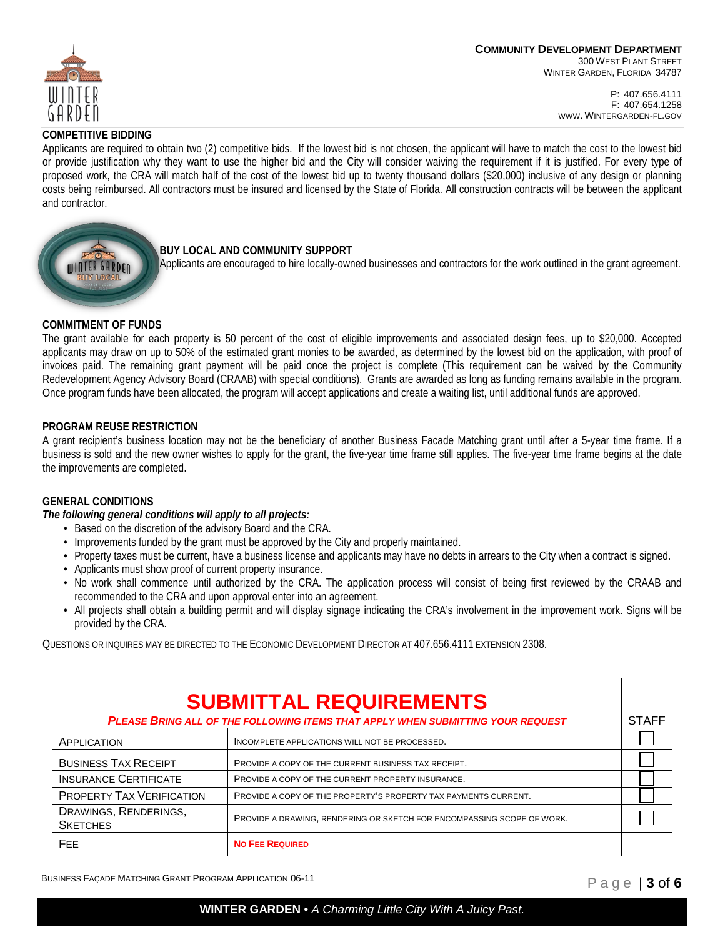

#### **COMPETITIVE BIDDING**

P: 407.656.4111 F: 407.654.1258 WWW. WINTERGARDEN-FL.GOV

Applicants are required to obtain two (2) competitive bids. If the lowest bid is not chosen, the applicant will have to match the cost to the lowest bid or provide justification why they want to use the higher bid and the City will consider waiving the requirement if it is justified. For every type of proposed work, the CRA will match half of the cost of the lowest bid up to twenty thousand dollars (\$20,000) inclusive of any design or planning costs being reimbursed. All contractors must be insured and licensed by the State of Florida. All construction contracts will be between the applicant and contractor.



#### **BUY LOCAL AND COMMUNITY SUPPORT**

Applicants are encouraged to hire locally-owned businesses and contractors for the work outlined in the grant agreement.

#### **COMMITMENT OF FUNDS**

The grant available for each property is 50 percent of the cost of eligible improvements and associated design fees, up to \$20,000. Accepted applicants may draw on up to 50% of the estimated grant monies to be awarded, as determined by the lowest bid on the application, with proof of invoices paid. The remaining grant payment will be paid once the project is complete (This requirement can be waived by the Community Redevelopment Agency Advisory Board (CRAAB) with special conditions). Grants are awarded as long as funding remains available in the program. Once program funds have been allocated, the program will accept applications and create a waiting list, until additional funds are approved.

#### **PROGRAM REUSE RESTRICTION**

A grant recipient's business location may not be the beneficiary of another Business Facade Matching grant until after a 5-year time frame. If a business is sold and the new owner wishes to apply for the grant, the five-year time frame still applies. The five-year time frame begins at the date the improvements are completed.

#### **GENERAL CONDITIONS**

*The following general conditions will apply to all projects:* 

- Based on the discretion of the advisory Board and the CRA.
- Improvements funded by the grant must be approved by the City and properly maintained.
- Property taxes must be current, have a business license and applicants may have no debts in arrears to the City when a contract is signed.
- Applicants must show proof of current property insurance.
- No work shall commence until authorized by the CRA. The application process will consist of being first reviewed by the CRAAB and recommended to the CRA and upon approval enter into an agreement.
- All projects shall obtain a building permit and will display signage indicating the CRA's involvement in the improvement work. Signs will be provided by the CRA.

QUESTIONS OR INQUIRES MAY BE DIRECTED TO THE ECONOMIC DEVELOPMENT DIRECTOR AT 407.656.4111 EXTENSION 2308.

| <b>SUBMITTAL REQUIREMENTS</b>                                                                   |                                                                        |  |  |  |
|-------------------------------------------------------------------------------------------------|------------------------------------------------------------------------|--|--|--|
| PLEASE BRING ALL OF THE FOLLOWING ITEMS THAT APPLY WHEN SUBMITTING YOUR REQUEST<br><b>STAFF</b> |                                                                        |  |  |  |
| APPLICATION                                                                                     | INCOMPLETE APPLICATIONS WILL NOT BE PROCESSED.                         |  |  |  |
| <b>BUSINESS TAX RECEIPT</b>                                                                     | PROVIDE A COPY OF THE CURRENT BUSINESS TAX RECEIPT.                    |  |  |  |
| <b>INSURANCE CERTIFICATE</b>                                                                    | PROVIDE A COPY OF THE CURRENT PROPERTY INSURANCE.                      |  |  |  |
| <b>PROPERTY TAX VERIFICATION</b>                                                                | PROVIDE A COPY OF THE PROPERTY'S PROPERTY TAX PAYMENTS CURRENT.        |  |  |  |
| DRAWINGS, RENDERINGS,<br><b>SKETCHES</b>                                                        | PROVIDE A DRAWING, RENDERING OR SKETCH FOR ENCOMPASSING SCOPE OF WORK. |  |  |  |
| <b>FFF</b>                                                                                      | <b>NO FEE REQUIRED</b>                                                 |  |  |  |

BUSINESS FAÇADE MATCHING GRANT PROGRAM APPLICATION 06-11

Page | **3** of **6**

**WINTER GARDEN •** *A Charming Little City With A Juicy Past.*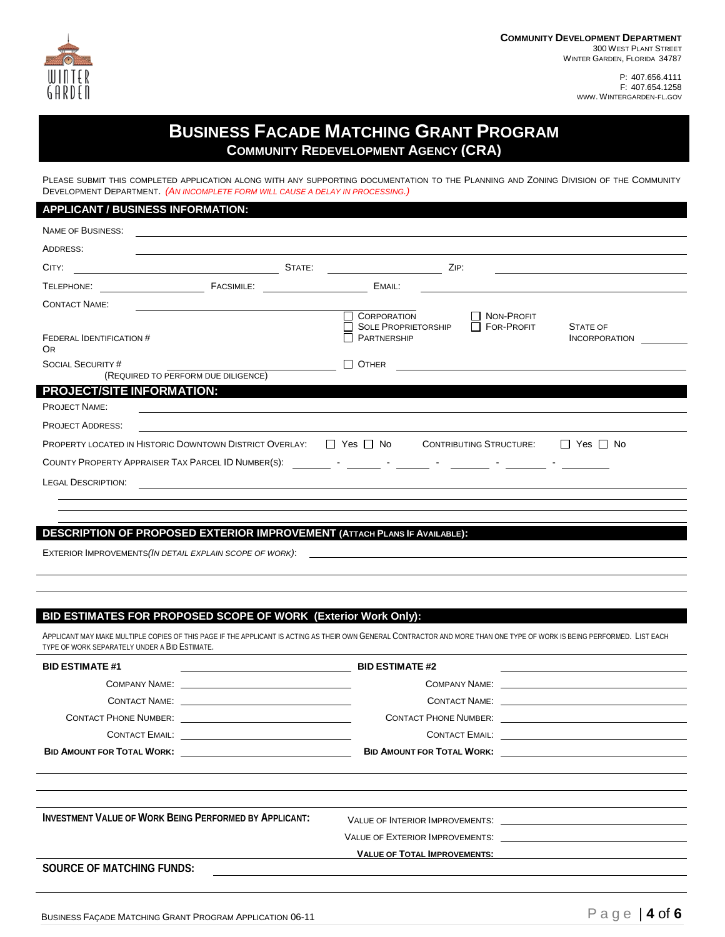

P: 407.656.4111 F: 407.654.1258 WWW. WINTERGARDEN-FL.GOV

# **BUSINESS FACADE MATCHING GRANT PROGRAM**

### **COMMUNITY REDEVELOPMENT AGENCY (CRA)**

PLEASE SUBMIT THIS COMPLETED APPLICATION ALONG WITH ANY SUPPORTING DOCUMENTATION TO THE PLANNING AND ZONING DIVISION OF THE COMMUNITY DEVELOPMENT DEPARTMENT. *(AN INCOMPLETE FORM WILL CAUSE A DELAY IN PROCESSING.)*

#### **APPLICANT / BUSINESS INFORMATION:**

| NAME OF BUSINESS:                            |                                                         |        |                                                  |                                                                                 |                      |
|----------------------------------------------|---------------------------------------------------------|--------|--------------------------------------------------|---------------------------------------------------------------------------------|----------------------|
| ADDRESS:                                     |                                                         |        |                                                  |                                                                                 |                      |
| CITY:                                        |                                                         | STATE: |                                                  | ZIP:                                                                            |                      |
| TELEPHONE:                                   | <b>FACSIMILE:</b>                                       |        | EMAIL:                                           |                                                                                 |                      |
| <b>CONTACT NAME:</b>                         |                                                         |        | <b>CORPORATION</b><br><b>SOLE PROPRIETORSHIP</b> | NON-PROFIT<br>$\mathbf{L}$<br>$\Box$ For-Profit                                 | <b>STATE OF</b>      |
| <b>FEDERAL IDENTIFICATION #</b><br><b>OR</b> |                                                         |        | PARTNERSHIP                                      |                                                                                 | <b>INCORPORATION</b> |
| <b>SOCIAL SECURITY #</b>                     | (REQUIRED TO PERFORM DUE DILIGENCE)                     |        | <b>OTHER</b><br>П                                |                                                                                 |                      |
| <b>PROJECT/SITE INFORMATION:</b>             |                                                         |        |                                                  |                                                                                 |                      |
| <b>PROJECT NAME:</b>                         |                                                         |        |                                                  |                                                                                 |                      |
| <b>PROJECT ADDRESS:</b>                      |                                                         |        |                                                  |                                                                                 |                      |
|                                              | PROPERTY LOCATED IN HISTORIC DOWNTOWN DISTRICT OVERLAY: | П.     | Yes $\Box$<br>No                                 | <b>CONTRIBUTING STRUCTURE:</b>                                                  | Yes $\Box$<br>No.    |
|                                              | COUNTY PROPERTY APPRAISER TAX PARCEL ID NUMBER(S):      |        |                                                  | the contract of the contract of the contract of the contract of the contract of |                      |
| <b>LEGAL DESCRIPTION:</b>                    |                                                         |        |                                                  |                                                                                 |                      |
|                                              |                                                         |        |                                                  |                                                                                 |                      |
|                                              |                                                         |        |                                                  |                                                                                 |                      |

#### **DESCRIPTION OF PROPOSED EXTERIOR IMPROVEMENT (ATTACH PLANS IF AVAILABLE):**

EXTERIOR IMPROVEMENTS*(IN DETAIL EXPLAIN SCOPE OF WORK)*:

#### **BID ESTIMATES FOR PROPOSED SCOPE OF WORK (Exterior Work Only):**

APPLICANT MAY MAKE MULTIPLE COPIES OF THIS PAGE IF THE APPLICANT IS ACTING AS THEIR OWN GENERAL CONTRACTOR AND MORE THAN ONE TYPE OF WORK IS BEING PERFORMED. LIST EACH TYPE OF WORK SEPARATELY UNDER A BID ESTIMATE.

| <b>BID ESTIMATE #2</b> |                                                                                                                                                                                                                                |
|------------------------|--------------------------------------------------------------------------------------------------------------------------------------------------------------------------------------------------------------------------------|
|                        |                                                                                                                                                                                                                                |
|                        |                                                                                                                                                                                                                                |
|                        | CONTACT PHONE NUMBER: \\contract PHONE NUMBER: \\contract PHONE NUMBER: \\contract \\contract \\contract \\contract \\contract \\contract \\contract \\contract \\contract \\contract \\contract \\contract \\contract \\contr |
|                        |                                                                                                                                                                                                                                |
|                        | BID AMOUNT FOR TOTAL WORK: \\com \\com \\com \\com \\com \\com \\com \\com \\com \\com \\com \\com \\com \\com \\com \\com \\com \\com \\com \\com \\com \\com \\com \\com \\com \\com \\com \\com \\com \\com \\com \\com \\c |
|                        |                                                                                                                                                                                                                                |
|                        |                                                                                                                                                                                                                                |
|                        |                                                                                                                                                                                                                                |
|                        |                                                                                                                                                                                                                                |
|                        |                                                                                                                                                                                                                                |
|                        | VALUE OF TOTAL IMPROVEMENTS: WELL ASSESSED FOR A SERIES OF THE RESIDENCE.                                                                                                                                                      |
|                        |                                                                                                                                                                                                                                |
|                        |                                                                                                                                                                                                                                |
|                        | CONTACT PHONE NUMBER: \\cdot\\cdot\\cdot\\cdot\\cdot\\cdot\\cdot\\cdot\\cdot\\cdot\\cdot\\cdot\\cdot\\cdot\\cdot\\cdot\\cdot\\cdot\\cdot\\cdot\\cdot\\cdot\\cdot\\cdot\\cdot\\cdot\\cdot\\cdot\\cdot\\cdot\\cdot\\cdot\\cdot\\ |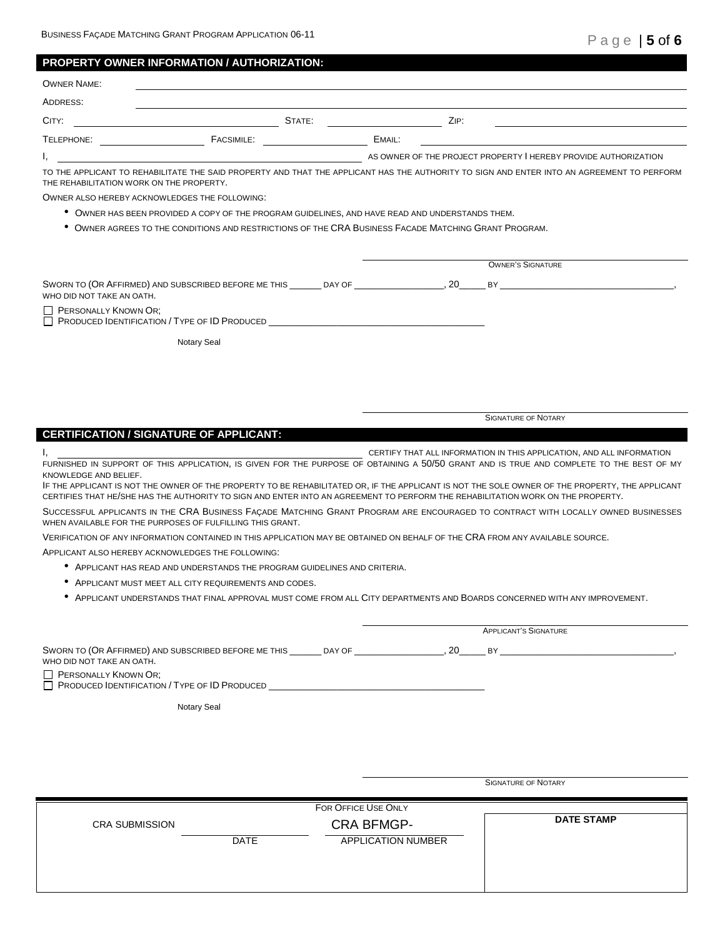#### **PROPERTY OWNER INFORMATION / AUTHORIZATION:**

| <b>OWNER NAME:</b>                       |            |        |        |      |                                                                                                                                            |
|------------------------------------------|------------|--------|--------|------|--------------------------------------------------------------------------------------------------------------------------------------------|
| ADDRESS:                                 |            |        |        |      |                                                                                                                                            |
| CITY:                                    |            | STATE: |        | ZIP: |                                                                                                                                            |
| TELEPHONE:                               | FACSIMILE: |        | EMAIL: |      |                                                                                                                                            |
|                                          |            |        |        |      | AS OWNER OF THE PROJECT PROPERTY I HEREBY PROVIDE AUTHORIZATION                                                                            |
| THE REHABILITATION WORK ON THE PROPERTY. |            |        |        |      | TO THE APPLICANT TO REHABILITATE THE SAID PROPERTY AND THAT THE APPLICANT HAS THE AUTHORITY TO SIGN AND ENTER INTO AN AGREEMENT TO PERFORM |

OWNER ALSO HEREBY ACKNOWLEDGES THE FOLLOWING:

- OWNER HAS BEEN PROVIDED A COPY OF THE PROGRAM GUIDELINES, AND HAVE READ AND UNDERSTANDS THEM.
- OWNER AGREES TO THE CONDITIONS AND RESTRICTIONS OF THE CRA BUSINESS FACADE MATCHING GRANT PROGRAM.

|                                                                                                               | <b>OWNER'S SIGNATURE</b>                                                                                                                                                                                                             |
|---------------------------------------------------------------------------------------------------------------|--------------------------------------------------------------------------------------------------------------------------------------------------------------------------------------------------------------------------------------|
| SWORN TO (OR AFFIRMED) AND SUBSCRIBED BEFORE ME THIS ________ DAY OF ___________<br>WHO DID NOT TAKE AN OATH. | 20<br>BY The contract of the contract of the contract of the contract of the contract of the contract of the contract of the contract of the contract of the contract of the contract of the contract of the contract of the contrac |
| PERSONALLY KNOWN OR;<br>$\Box$ PRODUCED IDENTIFICATION / TYPE OF ID PRODUCED                                  |                                                                                                                                                                                                                                      |
| <b>Notary Seal</b>                                                                                            |                                                                                                                                                                                                                                      |

**CERTIFICATION / SIGNATURE OF APPLICANT:**

I, CERTIFY THAT ALL INFORMATION IN THIS APPLICATION, AND ALL INFORMATION FURNISHED IN SUPPORT OF THIS APPLICATION, IS GIVEN FOR THE PURPOSE OF OBTAINING A 50/50 GRANT AND IS TRUE AND COMPLETE TO THE BEST OF MY KNOWLEDGE AND BELIEF.

IF THE APPLICANT IS NOT THE OWNER OF THE PROPERTY TO BE REHABILITATED OR, IF THE APPLICANT IS NOT THE SOLE OWNER OF THE PROPERTY, THE APPLICANT CERTIFIES THAT HE/SHE HAS THE AUTHORITY TO SIGN AND ENTER INTO AN AGREEMENT TO PERFORM THE REHABILITATION WORK ON THE PROPERTY.

SUCCESSFUL APPLICANTS IN THE CRA BUSINESS FAÇADE MATCHING GRANT PROGRAM ARE ENCOURAGED TO CONTRACT WITH LOCALLY OWNED BUSINESSES WHEN AVAILABLE FOR THE PURPOSES OF FULFILLING THIS GRANT.

VERIFICATION OF ANY INFORMATION CONTAINED IN THIS APPLICATION MAY BE OBTAINED ON BEHALF OF THE CRA FROM ANY AVAILABLE SOURCE.

APPLICANT ALSO HEREBY ACKNOWLEDGES THE FOLLOWING:

- APPLICANT HAS READ AND UNDERSTANDS THE PROGRAM GUIDELINES AND CRITERIA.
- APPLICANT MUST MEET ALL CITY REQUIREMENTS AND CODES.
- APPLICANT UNDERSTANDS THAT FINAL APPROVAL MUST COME FROM ALL CITY DEPARTMENTS AND BOARDS CONCERNED WITH ANY IMPROVEMENT.

|                                                                                                                                                                             | <b>APPLICANT'S SIGNATURE</b> |
|-----------------------------------------------------------------------------------------------------------------------------------------------------------------------------|------------------------------|
| SWORN TO (OR AFFIRMED) AND SUBSCRIBED BEFORE ME THIS<br>DAY OF<br>WHO DID NOT TAKE AN OATH.<br>PERSONALLY KNOWN OR;<br>$\Box$ PRODUCED IDENTIFICATION / TYPE OF ID PRODUCED | 20<br>BY                     |
| <b>Notary Seal</b>                                                                                                                                                          |                              |

SIGNATURE OF NOTARY

SIGNATURE OF NOTARY

|                       |             | FOR OFFICE USE ONLY |                   |
|-----------------------|-------------|---------------------|-------------------|
| <b>CRA SUBMISSION</b> |             | <b>CRA BFMGP-</b>   | <b>DATE STAMP</b> |
|                       | <b>DATE</b> | APPLICATION NUMBER  |                   |
|                       |             |                     |                   |
|                       |             |                     |                   |
|                       |             |                     |                   |